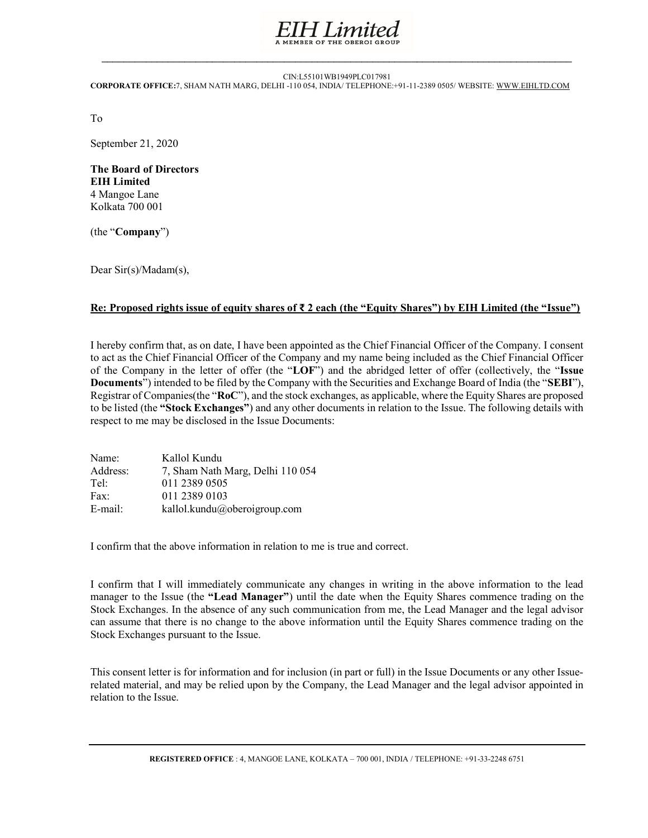

 $\_$  , and the state of the state of the state of the state of the state of the state of the state of the state of the state of the state of the state of the state of the state of the state of the state of the state of the

## CIN:L55101WB1949PLC017981 CORPORATE OFFICE:7, SHAM NATH MARG, DELHI -110 054, INDIA/ TELEPHONE:+91-11-2389 0505/ WEBSITE: WWW.EIHLTD.COM

To

September 21, 2020

The Board of Directors EIH Limited 4 Mangoe Lane Kolkata 700 001

(the "Company")

Dear Sir(s)/Madam(s),

## Re: Proposed rights issue of equity shares of ₹ 2 each (the "Equity Shares") by EIH Limited (the "Issue")

I hereby confirm that, as on date, I have been appointed as the Chief Financial Officer of the Company. I consent to act as the Chief Financial Officer of the Company and my name being included as the Chief Financial Officer of the Company in the letter of offer (the "LOF") and the abridged letter of offer (collectively, the "Issue Documents") intended to be filed by the Company with the Securities and Exchange Board of India (the "SEBI"), Registrar of Companies(the "RoC"), and the stock exchanges, as applicable, where the Equity Shares are proposed to be listed (the "Stock Exchanges") and any other documents in relation to the Issue. The following details with respect to me may be disclosed in the Issue Documents:

| Name:    | Kallol Kundu                     |
|----------|----------------------------------|
| Address: | 7, Sham Nath Marg, Delhi 110 054 |
| Tel:     | 011 2389 0505                    |
| Fax:     | 011 2389 0103                    |
| E-mail:  | kallol.kundu@oberoigroup.com     |

I confirm that the above information in relation to me is true and correct.

I confirm that I will immediately communicate any changes in writing in the above information to the lead manager to the Issue (the "Lead Manager") until the date when the Equity Shares commence trading on the Stock Exchanges. In the absence of any such communication from me, the Lead Manager and the legal advisor can assume that there is no change to the above information until the Equity Shares commence trading on the Stock Exchanges pursuant to the Issue.

This consent letter is for information and for inclusion (in part or full) in the Issue Documents or any other Issuerelated material, and may be relied upon by the Company, the Lead Manager and the legal advisor appointed in relation to the Issue.